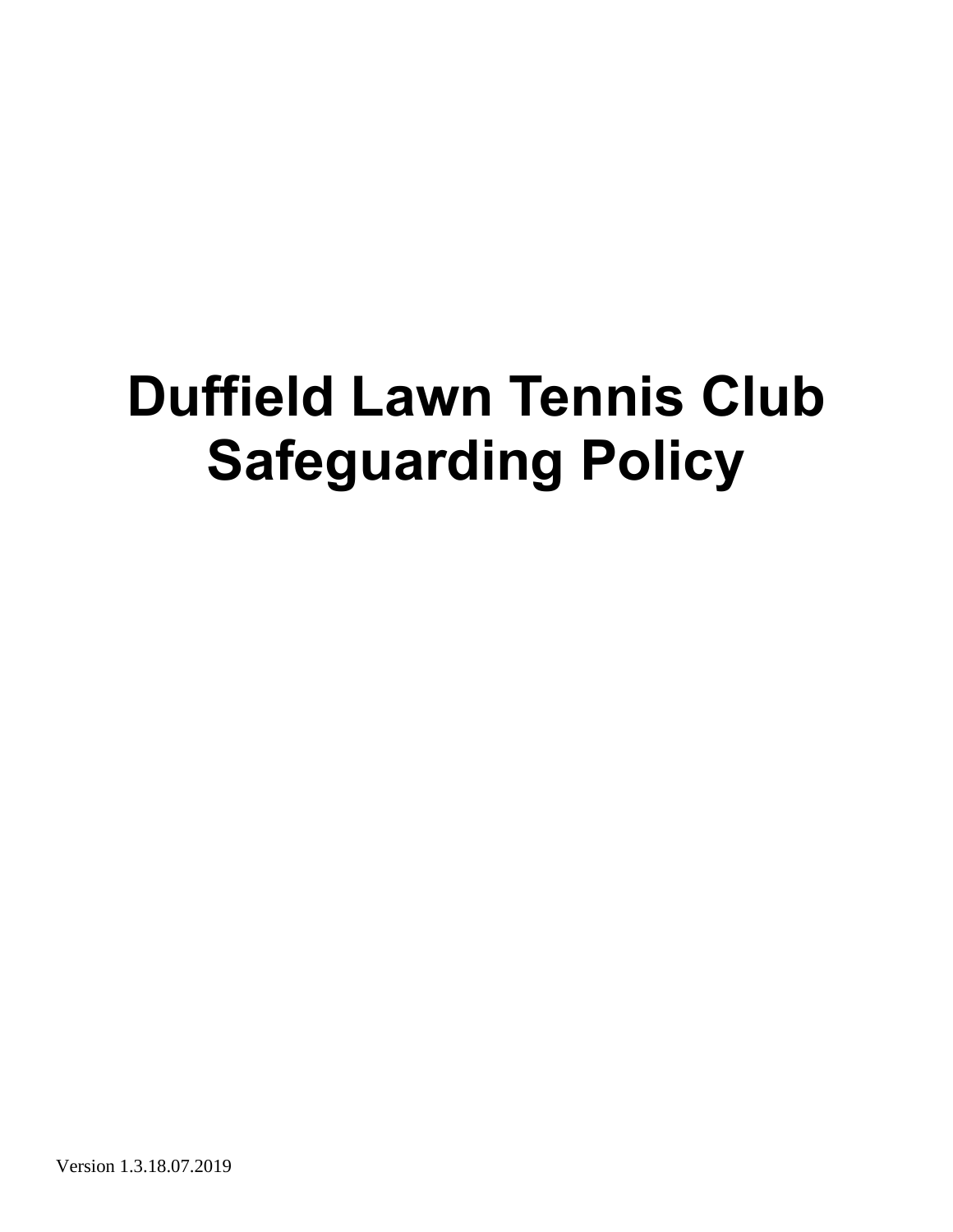# **Duffield Lawn Tennis Club Safeguarding Policy**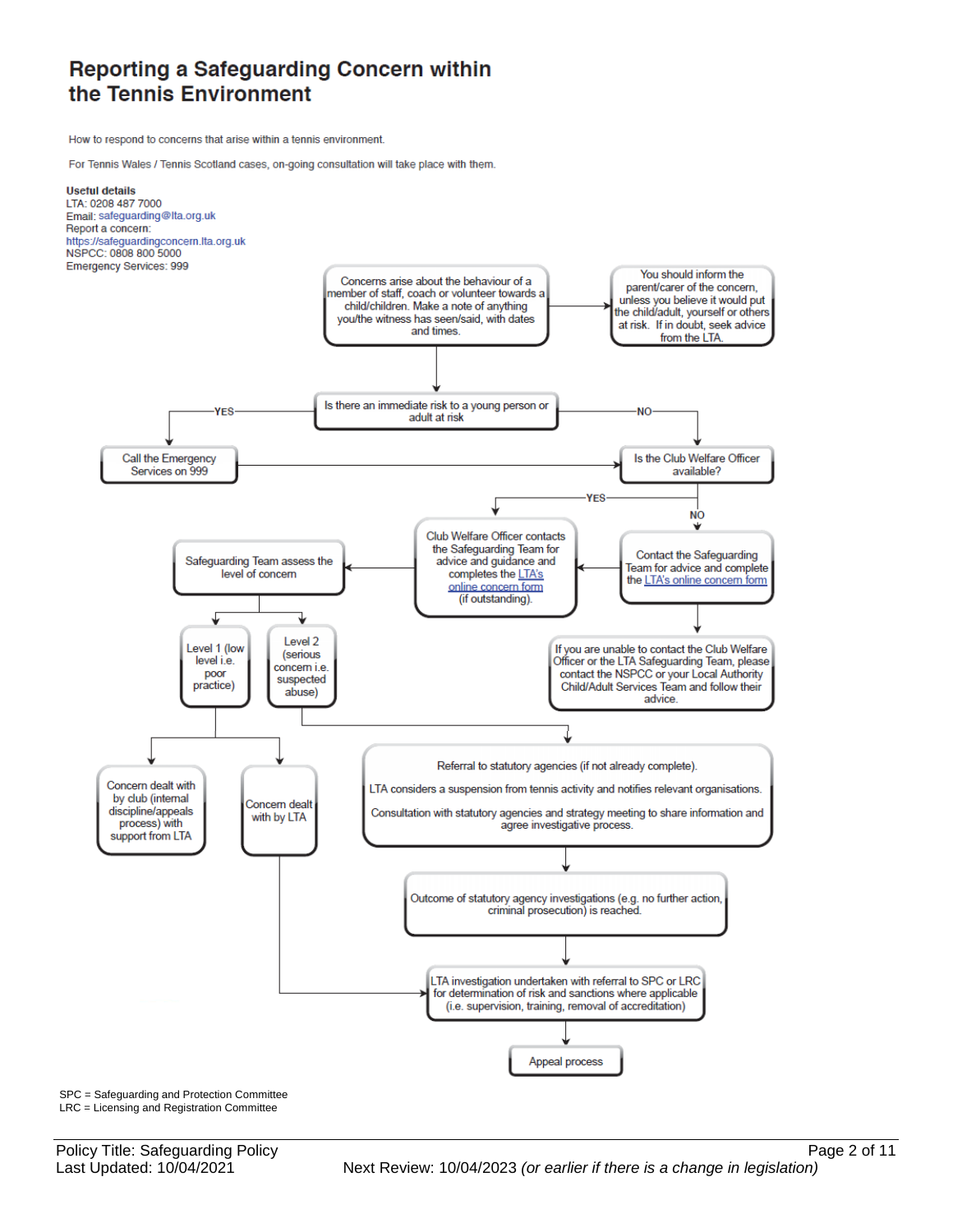### Reporting a Safeguarding Concern within the Tennis Environment

How to respond to concerns that arise within a tennis environment.

For Tennis Wales / Tennis Scotland cases, on-going consultation will take place with them.



SPC = Safeguarding and Protection Committee LRC = Licensing and Registration Committee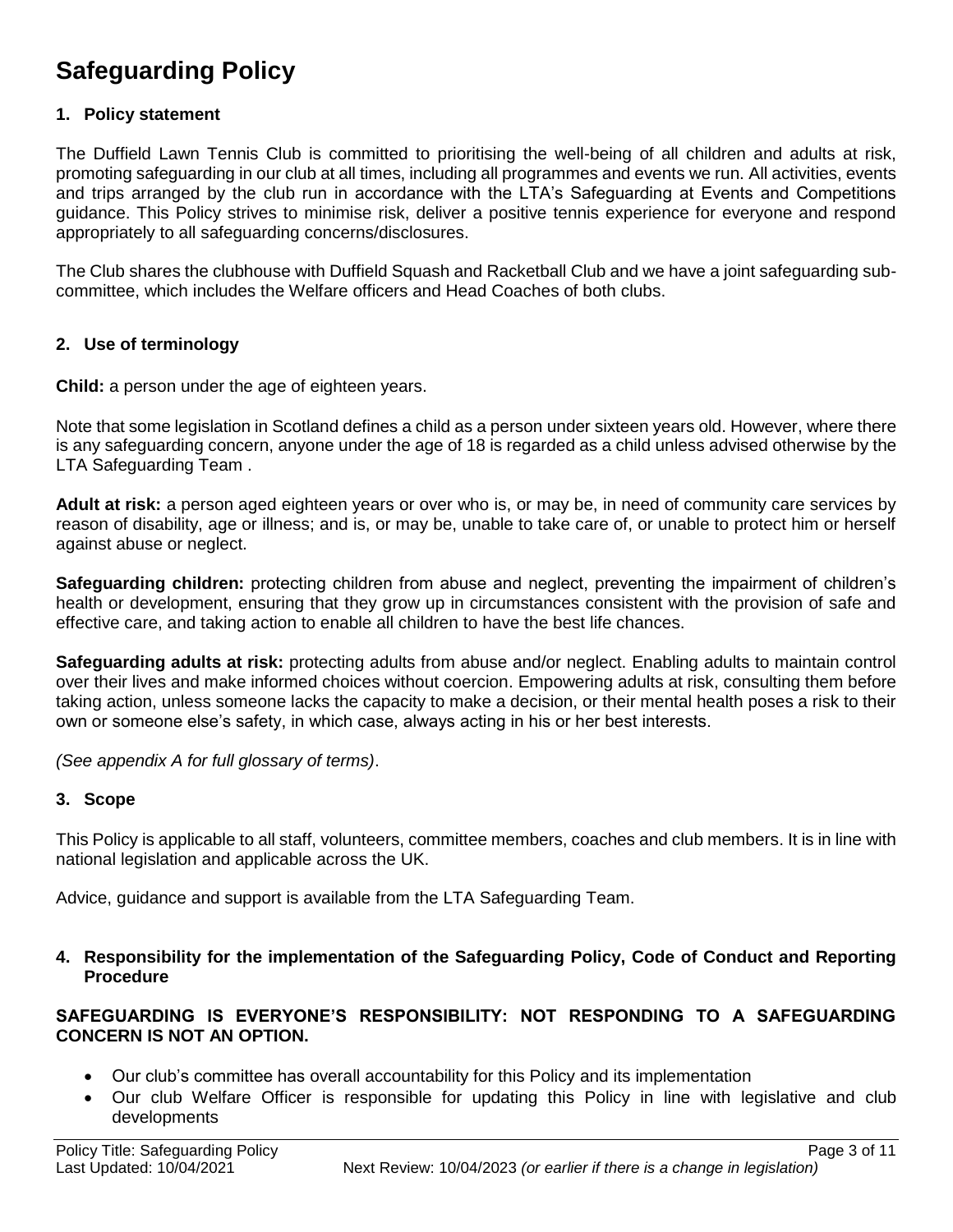## **Safeguarding Policy**

#### **1. Policy statement**

The Duffield Lawn Tennis Club is committed to prioritising the well-being of all children and adults at risk, promoting safeguarding in our club at all times, including all programmes and events we run. All activities, events and trips arranged by the club run in accordance with the LTA's Safeguarding at Events and Competitions guidance. This Policy strives to minimise risk, deliver a positive tennis experience for everyone and respond appropriately to all safeguarding concerns/disclosures.

The Club shares the clubhouse with Duffield Squash and Racketball Club and we have a joint safeguarding subcommittee, which includes the Welfare officers and Head Coaches of both clubs.

#### **2. Use of terminology**

**Child:** a person under the age of eighteen years.

Note that some legislation in Scotland defines a child as a person under sixteen years old. However, where there is any safeguarding concern, anyone under the age of 18 is regarded as a child unless advised otherwise by the LTA Safeguarding Team .

**Adult at risk:** a person aged eighteen years or over who is, or may be, in need of community care services by reason of disability, age or illness; and is, or may be, unable to take care of, or unable to protect him or herself against abuse or neglect.

**Safeguarding children:** protecting children from abuse and neglect, preventing the impairment of children's health or development, ensuring that they grow up in circumstances consistent with the provision of safe and effective care, and taking action to enable all children to have the best life chances.

**Safeguarding adults at risk:** protecting adults from abuse and/or neglect. Enabling adults to maintain control over their lives and make informed choices without coercion. Empowering adults at risk, consulting them before taking action, unless someone lacks the capacity to make a decision, or their mental health poses a risk to their own or someone else's safety, in which case, always acting in his or her best interests.

*(See appendix A for full glossary of terms)*.

#### **3. Scope**

This Policy is applicable to all staff, volunteers, committee members, coaches and club members. It is in line with national legislation and applicable across the UK.

Advice, guidance and support is available from the LTA Safeguarding Team.

**4. Responsibility for the implementation of the Safeguarding Policy, Code of Conduct and Reporting Procedure**

#### **SAFEGUARDING IS EVERYONE'S RESPONSIBILITY: NOT RESPONDING TO A SAFEGUARDING CONCERN IS NOT AN OPTION.**

- Our club's committee has overall accountability for this Policy and its implementation
- Our club Welfare Officer is responsible for updating this Policy in line with legislative and club developments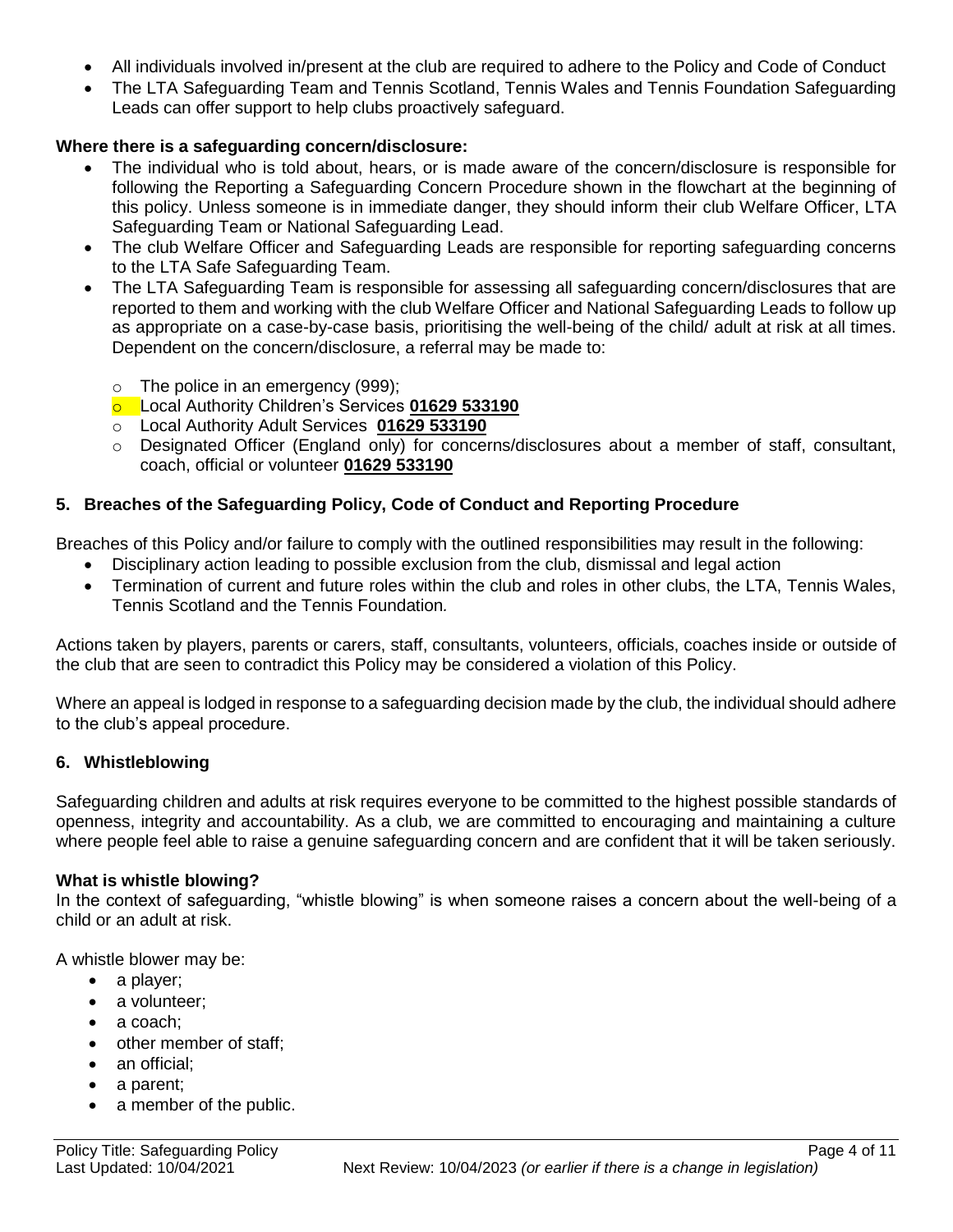- All individuals involved in/present at the club are required to adhere to the Policy and Code of Conduct
- The LTA Safeguarding Team and Tennis Scotland, Tennis Wales and Tennis Foundation Safeguarding Leads can offer support to help clubs proactively safeguard.

#### **Where there is a safeguarding concern/disclosure:**

- The individual who is told about, hears, or is made aware of the concern/disclosure is responsible for following the Reporting a Safeguarding Concern Procedure shown in the flowchart at the beginning of this policy. Unless someone is in immediate danger, they should inform their club Welfare Officer, LTA Safeguarding Team or National Safeguarding Lead.
- The club Welfare Officer and Safeguarding Leads are responsible for reporting safeguarding concerns to the LTA Safe Safeguarding Team.
- The LTA Safeguarding Team is responsible for assessing all safeguarding concern/disclosures that are reported to them and working with the club Welfare Officer and National Safeguarding Leads to follow up as appropriate on a case-by-case basis, prioritising the well-being of the child/ adult at risk at all times. Dependent on the concern/disclosure, a referral may be made to:
	- o The police in an emergency (999);
	- o Local Authority Children's Services **01629 533190**
	- o Local Authority Adult Services **01629 533190**
	- o Designated Officer (England only) for concerns/disclosures about a member of staff, consultant, coach, official or volunteer **01629 533190**

#### **5. Breaches of the Safeguarding Policy, Code of Conduct and Reporting Procedure**

Breaches of this Policy and/or failure to comply with the outlined responsibilities may result in the following:

- Disciplinary action leading to possible exclusion from the club, dismissal and legal action
- Termination of current and future roles within the club and roles in other clubs, the LTA, Tennis Wales, Tennis Scotland and the Tennis Foundation*.*

Actions taken by players, parents or carers, staff, consultants, volunteers, officials, coaches inside or outside of the club that are seen to contradict this Policy may be considered a violation of this Policy.

Where an appeal is lodged in response to a safeguarding decision made by the club, the individual should adhere to the club's appeal procedure.

#### **6. Whistleblowing**

Safeguarding children and adults at risk requires everyone to be committed to the highest possible standards of openness, integrity and accountability. As a club, we are committed to encouraging and maintaining a culture where people feel able to raise a genuine safeguarding concern and are confident that it will be taken seriously.

#### **What is whistle blowing?**

In the context of safeguarding, "whistle blowing" is when someone raises a concern about the well-being of a child or an adult at risk.

A whistle blower may be:

- a player;
- a volunteer;
- a coach:
- other member of staff:
- an official:
- a parent;
- a member of the public.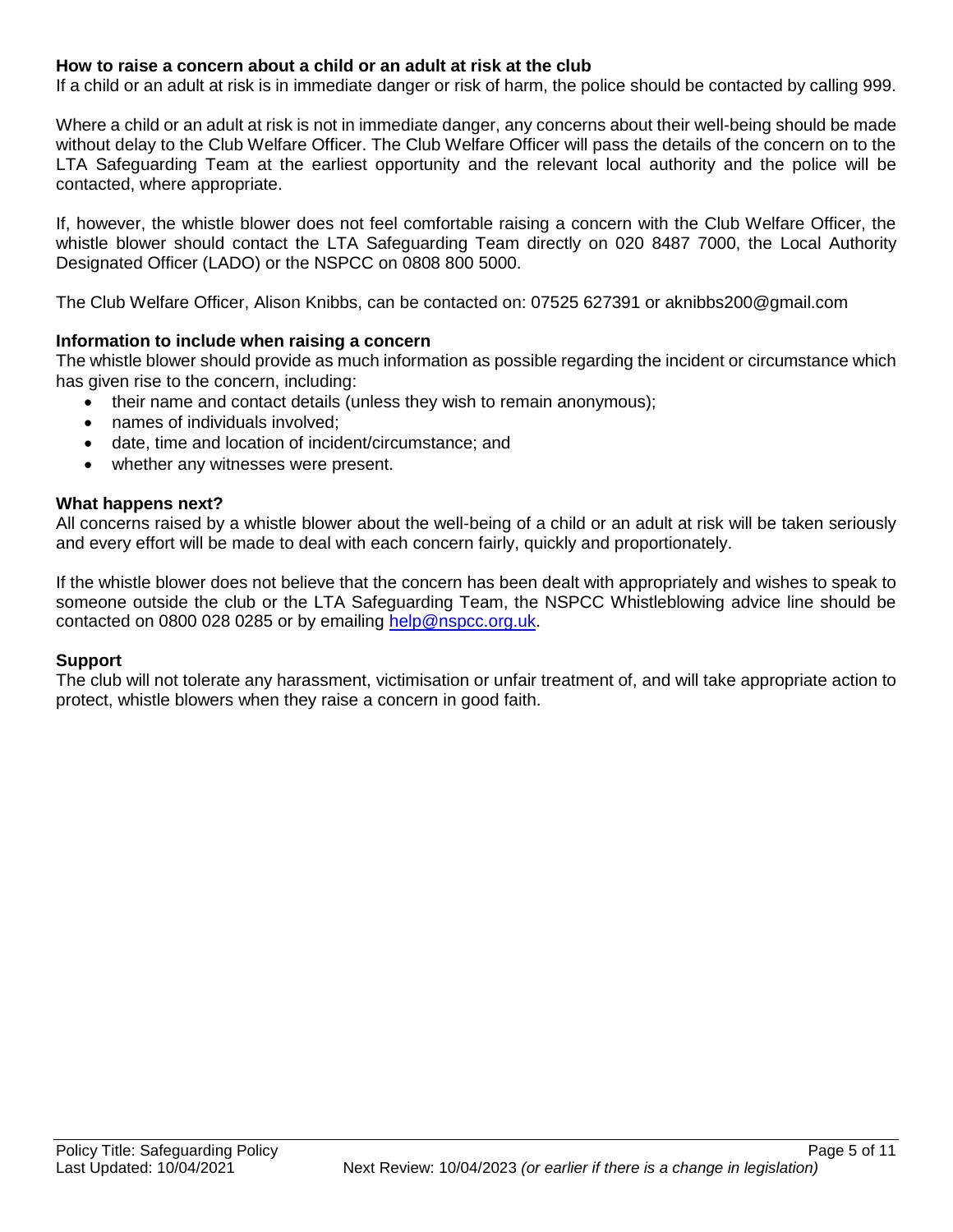#### **How to raise a concern about a child or an adult at risk at the club**

If a child or an adult at risk is in immediate danger or risk of harm, the police should be contacted by calling 999.

Where a child or an adult at risk is not in immediate danger, any concerns about their well-being should be made without delay to the Club Welfare Officer. The Club Welfare Officer will pass the details of the concern on to the LTA Safeguarding Team at the earliest opportunity and the relevant local authority and the police will be contacted, where appropriate.

If, however, the whistle blower does not feel comfortable raising a concern with the Club Welfare Officer, the whistle blower should contact the LTA Safeguarding Team directly on 020 8487 7000, the Local Authority Designated Officer (LADO) or the NSPCC on 0808 800 5000.

The Club Welfare Officer, Alison Knibbs, can be contacted on: 07525 627391 or aknibbs200@gmail.com

#### **Information to include when raising a concern**

The whistle blower should provide as much information as possible regarding the incident or circumstance which has given rise to the concern, including:

- their name and contact details (unless they wish to remain anonymous);
	- names of individuals involved;
	- date, time and location of incident/circumstance; and
	- whether any witnesses were present.

#### **What happens next?**

All concerns raised by a whistle blower about the well-being of a child or an adult at risk will be taken seriously and every effort will be made to deal with each concern fairly, quickly and proportionately.

If the whistle blower does not believe that the concern has been dealt with appropriately and wishes to speak to someone outside the club or the LTA Safeguarding Team, the NSPCC Whistleblowing advice line should be contacted on 0800 028 0285 or by emailing [help@nspcc.org.uk.](mailto:help@nspcc.org.uk)

#### **Support**

The club will not tolerate any harassment, victimisation or unfair treatment of, and will take appropriate action to protect, whistle blowers when they raise a concern in good faith.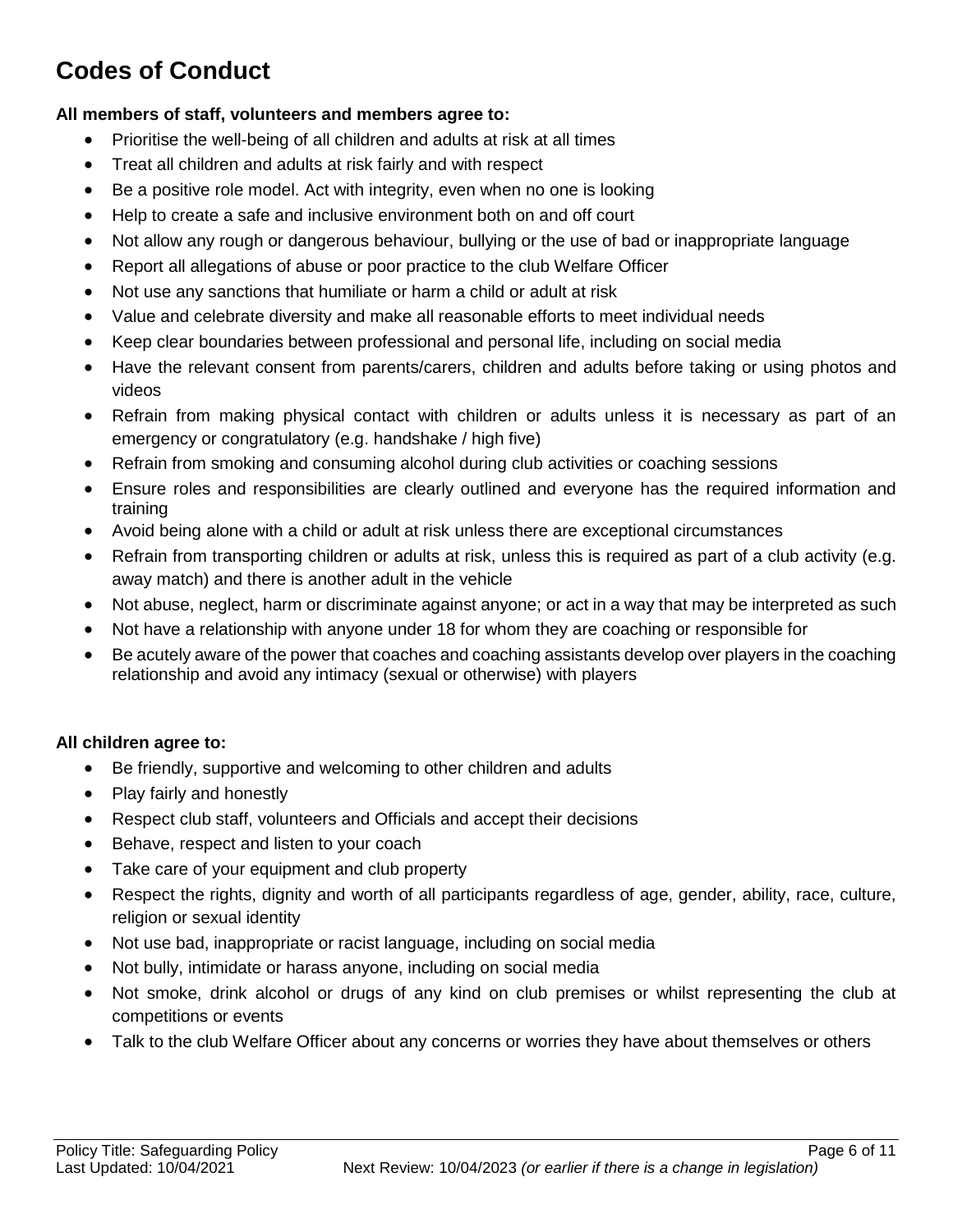# **Codes of Conduct**

#### **All members of staff, volunteers and members agree to:**

- Prioritise the well-being of all children and adults at risk at all times
- Treat all children and adults at risk fairly and with respect
- Be a positive role model. Act with integrity, even when no one is looking
- Help to create a safe and inclusive environment both on and off court
- Not allow any rough or dangerous behaviour, bullying or the use of bad or inappropriate language
- Report all allegations of abuse or poor practice to the club Welfare Officer
- Not use any sanctions that humiliate or harm a child or adult at risk
- Value and celebrate diversity and make all reasonable efforts to meet individual needs
- Keep clear boundaries between professional and personal life, including on social media
- Have the relevant consent from parents/carers, children and adults before taking or using photos and videos
- Refrain from making physical contact with children or adults unless it is necessary as part of an emergency or congratulatory (e.g. handshake / high five)
- Refrain from smoking and consuming alcohol during club activities or coaching sessions
- Ensure roles and responsibilities are clearly outlined and everyone has the required information and training
- Avoid being alone with a child or adult at risk unless there are exceptional circumstances
- Refrain from transporting children or adults at risk, unless this is required as part of a club activity (e.g. away match) and there is another adult in the vehicle
- Not abuse, neglect, harm or discriminate against anyone; or act in a way that may be interpreted as such
- Not have a relationship with anyone under 18 for whom they are coaching or responsible for
- Be acutely aware of the power that coaches and coaching assistants develop over players in the coaching relationship and avoid any intimacy (sexual or otherwise) with players

#### **All children agree to:**

- Be friendly, supportive and welcoming to other children and adults
- Play fairly and honestly
- Respect club staff, volunteers and Officials and accept their decisions
- Behave, respect and listen to your coach
- Take care of your equipment and club property
- Respect the rights, dignity and worth of all participants regardless of age, gender, ability, race, culture, religion or sexual identity
- Not use bad, inappropriate or racist language, including on social media
- Not bully, intimidate or harass anyone, including on social media
- Not smoke, drink alcohol or drugs of any kind on club premises or whilst representing the club at competitions or events
- Talk to the club Welfare Officer about any concerns or worries they have about themselves or others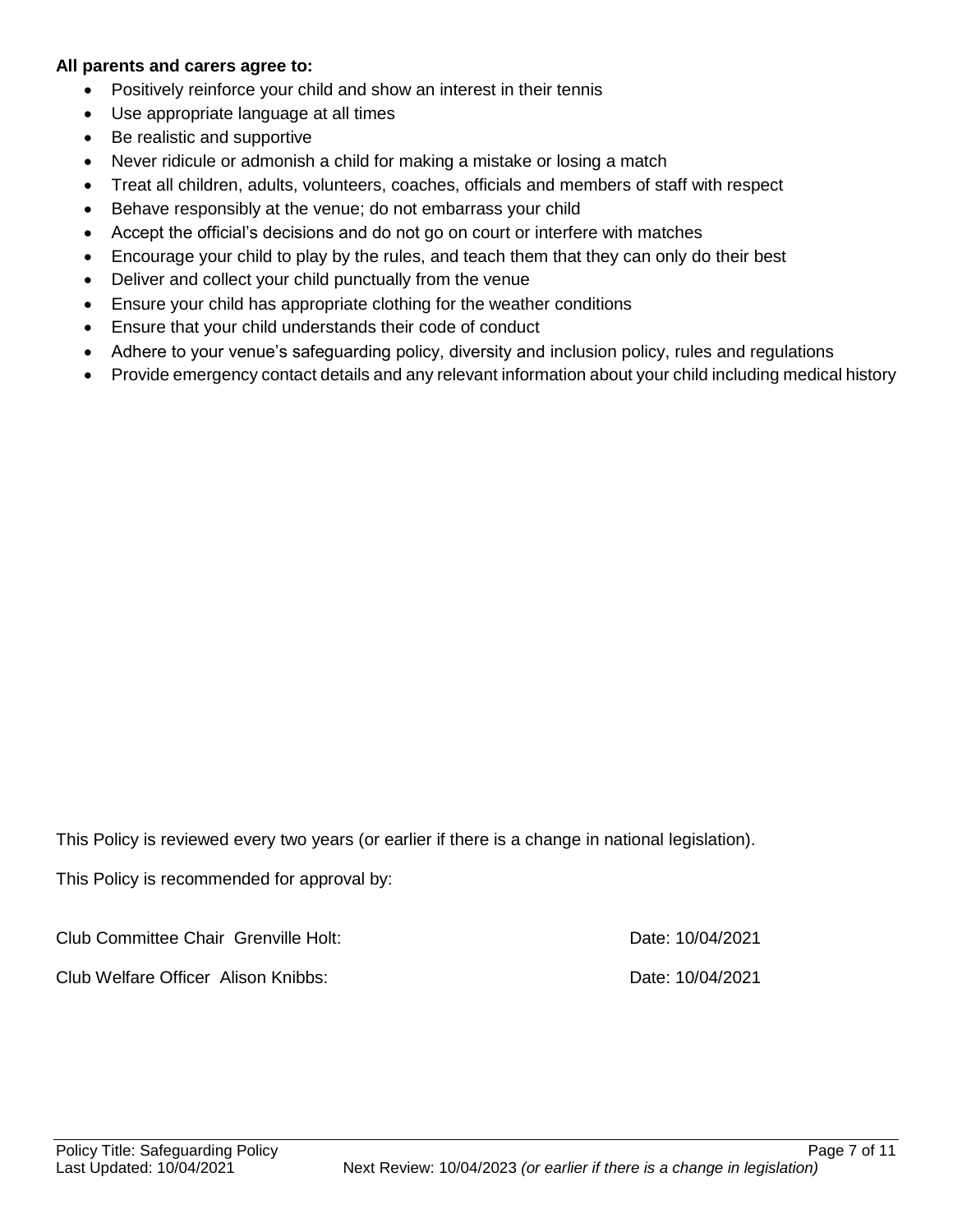#### **All parents and carers agree to:**

- Positively reinforce your child and show an interest in their tennis
- Use appropriate language at all times
- Be realistic and supportive
- Never ridicule or admonish a child for making a mistake or losing a match
- Treat all children, adults, volunteers, coaches, officials and members of staff with respect
- Behave responsibly at the venue; do not embarrass your child
- Accept the official's decisions and do not go on court or interfere with matches
- Encourage your child to play by the rules, and teach them that they can only do their best
- Deliver and collect your child punctually from the venue
- Ensure your child has appropriate clothing for the weather conditions
- Ensure that your child understands their code of conduct
- Adhere to your venue's safeguarding policy, diversity and inclusion policy, rules and regulations
- Provide emergency contact details and any relevant information about your child including medical history

This Policy is reviewed every two years (or earlier if there is a change in national legislation).

This Policy is recommended for approval by:

Club Committee Chair Grenville Holt: Date: 10/04/2021 Club Welfare Officer Alison Knibbs: Date: 10/04/2021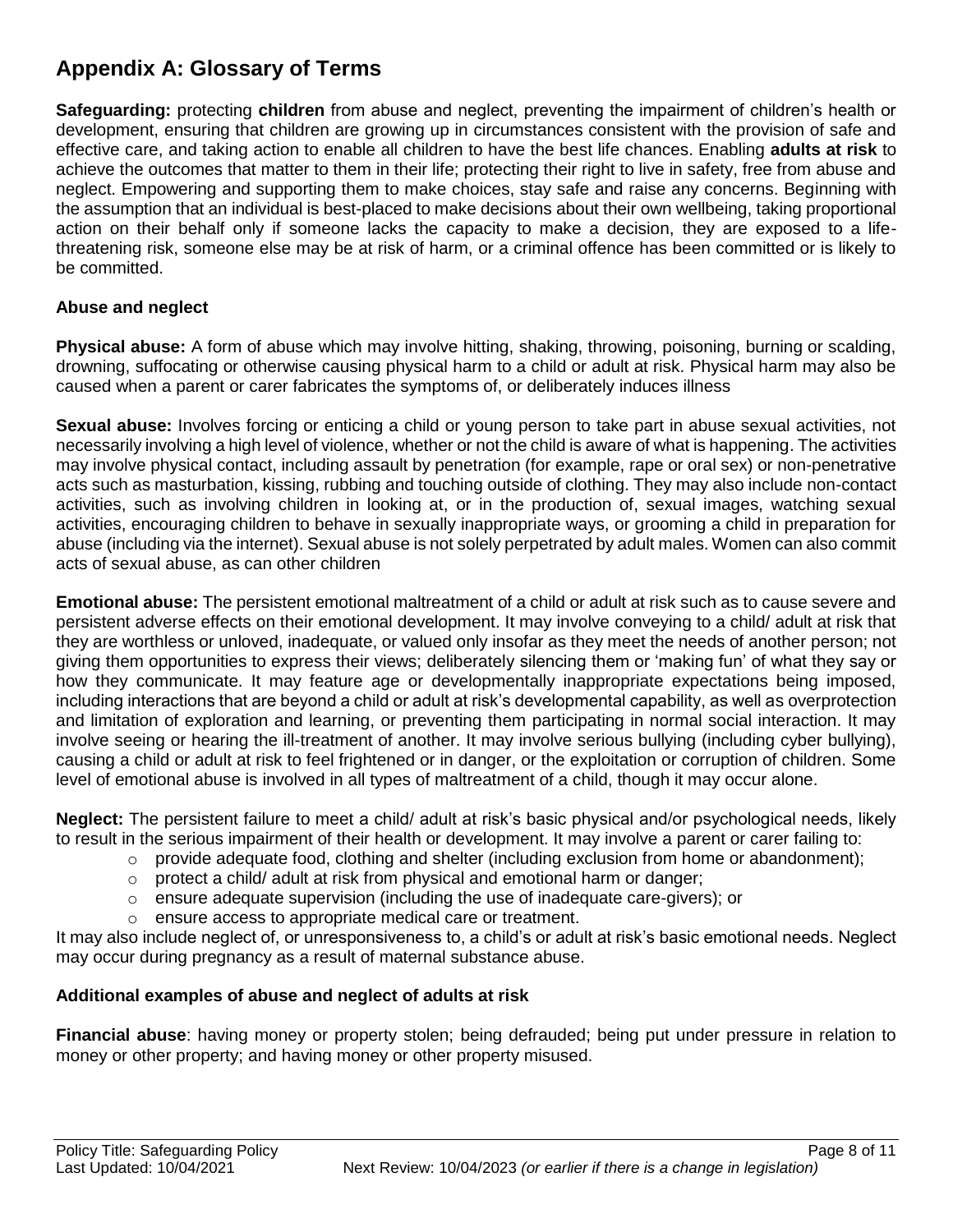## **Appendix A: Glossary of Terms**

**Safeguarding:** protecting **children** from abuse and neglect, preventing the impairment of children's health or development, ensuring that children are growing up in circumstances consistent with the provision of safe and effective care, and taking action to enable all children to have the best life chances. Enabling **adults at risk** to achieve the outcomes that matter to them in their life; protecting their right to live in safety, free from abuse and neglect. Empowering and supporting them to make choices, stay safe and raise any concerns. Beginning with the assumption that an individual is best-placed to make decisions about their own wellbeing, taking proportional action on their behalf only if someone lacks the capacity to make a decision, they are exposed to a lifethreatening risk, someone else may be at risk of harm, or a criminal offence has been committed or is likely to be committed.

#### **Abuse and neglect**

**Physical abuse:** A form of abuse which may involve hitting, shaking, throwing, poisoning, burning or scalding, drowning, suffocating or otherwise causing physical harm to a child or adult at risk. Physical harm may also be caused when a parent or carer fabricates the symptoms of, or deliberately induces illness

**Sexual abuse:** Involves forcing or enticing a child or young person to take part in abuse sexual activities, not necessarily involving a high level of violence, whether or not the child is aware of what is happening. The activities may involve physical contact, including assault by penetration (for example, rape or oral sex) or non-penetrative acts such as masturbation, kissing, rubbing and touching outside of clothing. They may also include non-contact activities, such as involving children in looking at, or in the production of, sexual images, watching sexual activities, encouraging children to behave in sexually inappropriate ways, or grooming a child in preparation for abuse (including via the internet). Sexual abuse is not solely perpetrated by adult males. Women can also commit acts of sexual abuse, as can other children

**Emotional abuse:** The persistent emotional maltreatment of a child or adult at risk such as to cause severe and persistent adverse effects on their emotional development. It may involve conveying to a child/ adult at risk that they are worthless or unloved, inadequate, or valued only insofar as they meet the needs of another person; not giving them opportunities to express their views; deliberately silencing them or 'making fun' of what they say or how they communicate. It may feature age or developmentally inappropriate expectations being imposed, including interactions that are beyond a child or adult at risk's developmental capability, as well as overprotection and limitation of exploration and learning, or preventing them participating in normal social interaction. It may involve seeing or hearing the ill-treatment of another. It may involve serious bullying (including cyber bullying), causing a child or adult at risk to feel frightened or in danger, or the exploitation or corruption of children. Some level of emotional abuse is involved in all types of maltreatment of a child, though it may occur alone.

**Neglect:** The persistent failure to meet a child/ adult at risk's basic physical and/or psychological needs, likely to result in the serious impairment of their health or development. It may involve a parent or carer failing to:

- $\circ$  provide adequate food, clothing and shelter (including exclusion from home or abandonment);
- $\circ$  protect a child/ adult at risk from physical and emotional harm or danger;
- o ensure adequate supervision (including the use of inadequate care-givers); or
- o ensure access to appropriate medical care or treatment.

It may also include neglect of, or unresponsiveness to, a child's or adult at risk's basic emotional needs. Neglect may occur during pregnancy as a result of maternal substance abuse.

#### **Additional examples of abuse and neglect of adults at risk**

**Financial abuse**: having money or property stolen; being defrauded; being put under pressure in relation to money or other property; and having money or other property misused.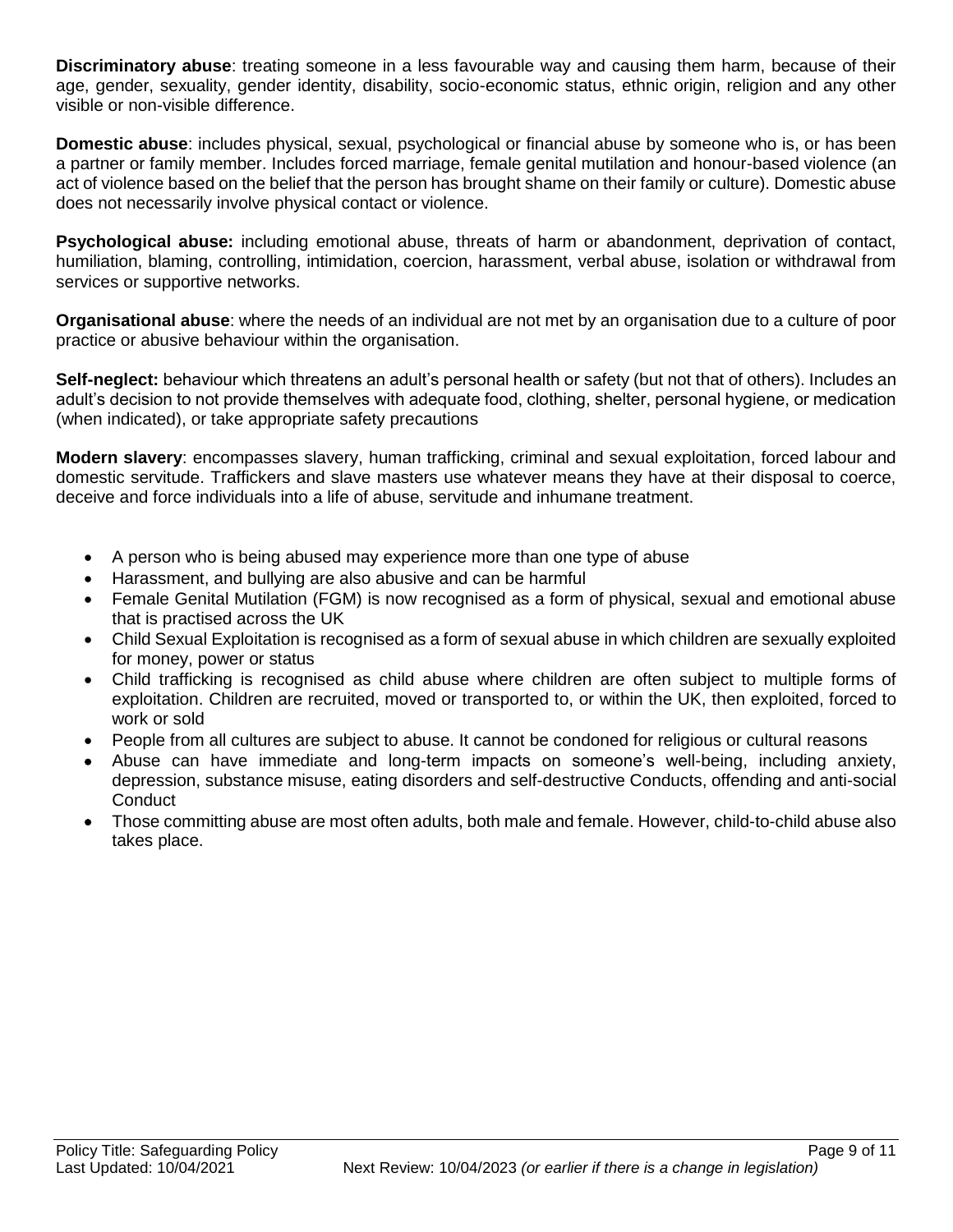**Discriminatory abuse**: treating someone in a less favourable way and causing them harm, because of their age, gender, sexuality, gender identity, disability, socio-economic status, ethnic origin, religion and any other visible or non-visible difference.

**Domestic abuse**: includes physical, sexual, psychological or financial abuse by someone who is, or has been a partner or family member. Includes forced marriage, female genital mutilation and honour-based violence (an act of violence based on the belief that the person has brought shame on their family or culture). Domestic abuse does not necessarily involve physical contact or violence.

**Psychological abuse:** including emotional abuse, threats of harm or abandonment, deprivation of contact, humiliation, blaming, controlling, intimidation, coercion, harassment, verbal abuse, isolation or withdrawal from services or supportive networks.

**Organisational abuse**: where the needs of an individual are not met by an organisation due to a culture of poor practice or abusive behaviour within the organisation.

**Self-neglect:** behaviour which threatens an adult's personal health or safety (but not that of others). Includes an adult's decision to not provide themselves with adequate food, clothing, shelter, personal hygiene, or medication (when indicated), or take appropriate safety precautions

**Modern slavery**: encompasses slavery, human trafficking, criminal and sexual exploitation, forced labour and domestic servitude. Traffickers and slave masters use whatever means they have at their disposal to coerce, deceive and force individuals into a life of abuse, servitude and inhumane treatment.

- A person who is being abused may experience more than one type of abuse
- Harassment, and bullying are also abusive and can be harmful
- Female Genital Mutilation (FGM) is now recognised as a form of physical, sexual and emotional abuse that is practised across the UK
- Child Sexual Exploitation is recognised as a form of sexual abuse in which children are sexually exploited for money, power or status
- Child trafficking is recognised as child abuse where children are often subject to multiple forms of exploitation. Children are recruited, moved or transported to, or within the UK, then exploited, forced to work or sold
- People from all cultures are subject to abuse. It cannot be condoned for religious or cultural reasons
- Abuse can have immediate and long-term impacts on someone's well-being, including anxiety, depression, substance misuse, eating disorders and self-destructive Conducts, offending and anti-social **Conduct**
- Those committing abuse are most often adults, both male and female. However, child-to-child abuse also takes place.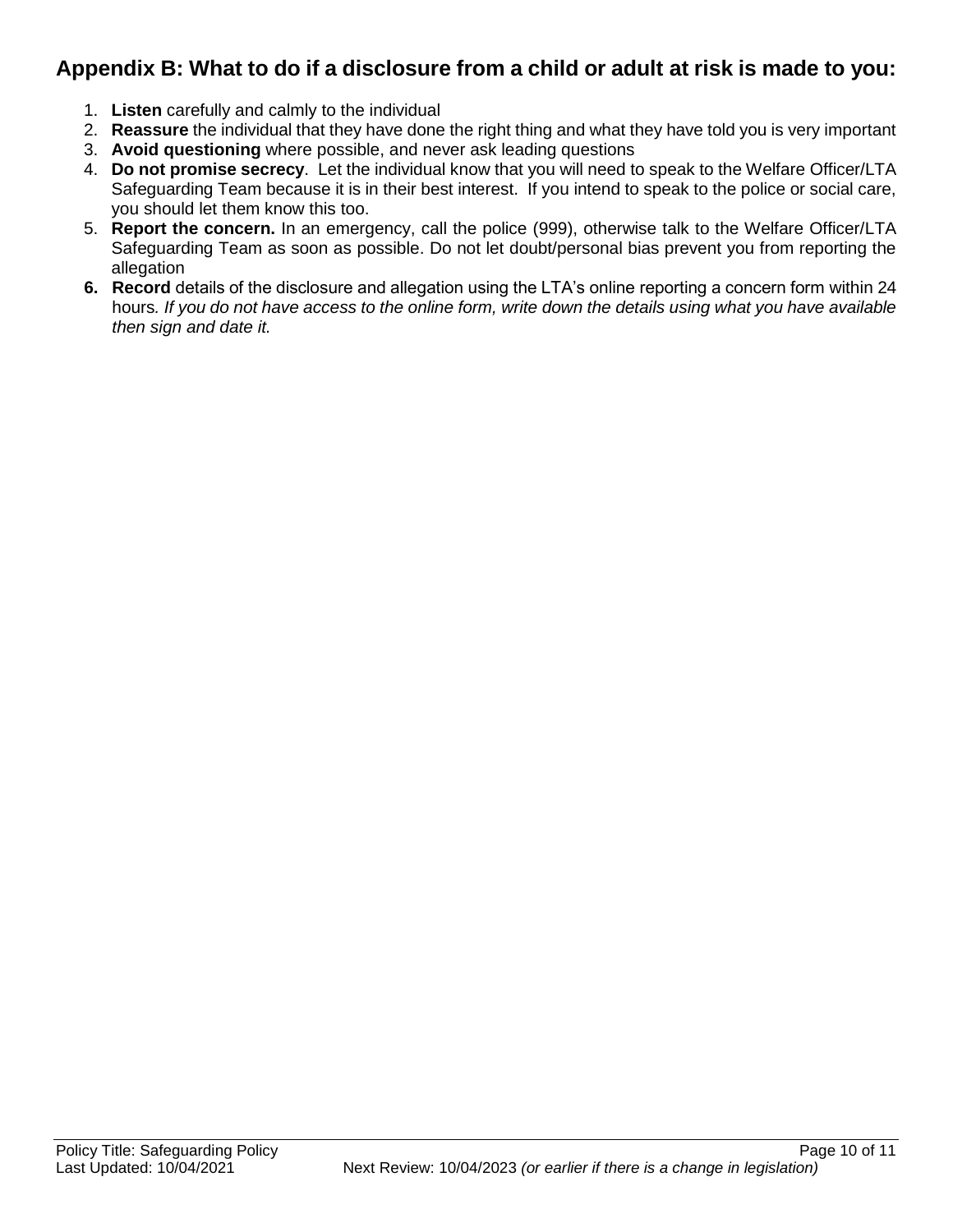## **Appendix B: What to do if a disclosure from a child or adult at risk is made to you:**

- 1. **Listen** carefully and calmly to the individual
- 2. **Reassure** the individual that they have done the right thing and what they have told you is very important
- 3. **Avoid questioning** where possible, and never ask leading questions
- 4. **Do not promise secrecy**. Let the individual know that you will need to speak to the Welfare Officer/LTA Safeguarding Team because it is in their best interest. If you intend to speak to the police or social care, you should let them know this too.
- 5. **Report the concern.** In an emergency, call the police (999), otherwise talk to the Welfare Officer/LTA Safeguarding Team as soon as possible. Do not let doubt/personal bias prevent you from reporting the allegation
- **6. Record** details of the disclosure and allegation using the LTA's online reporting a concern form within 24 hours*. If you do not have access to the online form, write down the details using what you have available then sign and date it.*